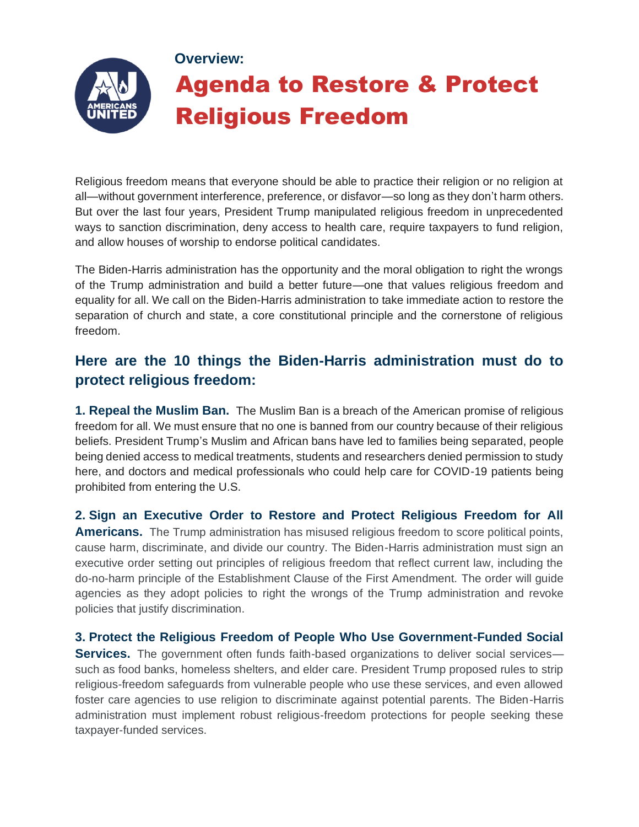

Religious freedom means that everyone should be able to practice their religion or no religion at all—without government interference, preference, or disfavor—so long as they don't harm others. But over the last four years, President Trump manipulated religious freedom in unprecedented ways to sanction discrimination, deny access to health care, require taxpayers to fund religion, and allow houses of worship to endorse political candidates.

The Biden-Harris administration has the opportunity and the moral obligation to right the wrongs of the Trump administration and build a better future—one that values religious freedom and equality for all. We call on the Biden-Harris administration to take immediate action to restore the separation of church and state, a core constitutional principle and the cornerstone of religious freedom.

## **Here are the 10 things the Biden-Harris administration must do to protect religious freedom:**

**1. Repeal the Muslim Ban.** The Muslim Ban is a breach of the American promise of religious freedom for all. We must ensure that no one is banned from our country because of their religious beliefs. President Trump's Muslim and African bans have led to families being separated, people being denied access to medical treatments, students and researchers denied permission to study here, and doctors and medical professionals who could help care for COVID-19 patients being prohibited from entering the U.S.

**2. Sign an Executive Order to Restore and Protect Religious Freedom for All Americans.** The Trump administration has misused religious freedom to score political points, cause harm, discriminate, and divide our country. The Biden-Harris administration must sign an executive order setting out principles of religious freedom that reflect current law, including the do-no-harm principle of the Establishment Clause of the First Amendment. The order will guide agencies as they adopt policies to right the wrongs of the Trump administration and revoke policies that justify discrimination.

**3. Protect the Religious Freedom of People Who Use Government-Funded Social Services.** The government often funds faith-based organizations to deliver social services such as food banks, homeless shelters, and elder care. President Trump proposed rules to strip religious-freedom safeguards from vulnerable people who use these services, and even allowed foster care agencies to use religion to discriminate against potential parents. The Biden-Harris administration must implement robust religious-freedom protections for people seeking these taxpayer-funded services.